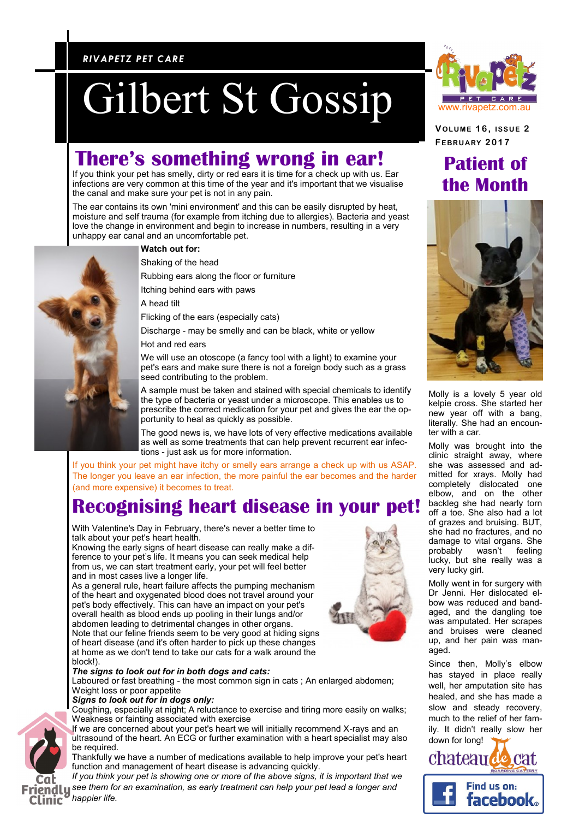### *RIVAPETZ PET CARE RIVAPETZ PET CARE*

# Gilbert St Gossip Gilbert St Gossip

## **There's something wrong in ear!**

If you think your pet has smelly, dirty or red ears it is time for a check up with us. Ear infections are very common at this time of the year and it's important that we visualise the canal and make sure your pet is not in any pain.

The ear contains its own 'mini environment' and this can be easily disrupted by heat, moisture and self trauma (for example from itching due to allergies). Bacteria and yeast love the change in environment and begin to increase in numbers, resulting in a very unhappy ear canal and an uncomfortable pet.



#### **Watch out for:**

Shaking of the head

Rubbing ears along the floor or furniture

Itching behind ears with paws

A head tilt

Flicking of the ears (especially cats)

Discharge - may be smelly and can be black, white or yellow

Hot and red ears

We will use an otoscope (a fancy tool with a light) to examine your pet's ears and make sure there is not a foreign body such as a grass seed contributing to the problem.

A sample must be taken and stained with special chemicals to identify the type of bacteria or yeast under a microscope. This enables us to prescribe the correct medication for your pet and gives the ear the opportunity to heal as quickly as possible.

The good news is, we have lots of very effective medications available as well as some treatments that can help prevent recurrent ear infections - just ask us for more information.

If you think your pet might have itchy or smelly ears arrange a check up with us ASAP. The longer you leave an ear infection, the more painful the ear becomes and the harder (and more expensive) it becomes to treat.

## **Recognising heart disease in your pet!**

With Valentine's Day in February, there's never a better time to talk about your pet's heart health.

Knowing the early signs of heart disease can really make a difference to your pet's life. It means you can seek medical help from us, we can start treatment early, your pet will feel better and in most cases live a longer life.

As a general rule, heart failure affects the pumping mechanism of the heart and oxygenated blood does not travel around your pet's body effectively. This can have an impact on your pet's overall health as blood ends up pooling in their lungs and/or abdomen leading to detrimental changes in other organs. Note that our feline friends seem to be very good at hiding signs of heart disease (and it's often harder to pick up these changes at home as we don't tend to take our cats for a walk around the block!).

#### *The signs to look out for in both dogs and cats:*

Laboured or fast breathing - the most common sign in cats ; An enlarged abdomen; Weight loss or poor appetite

#### *Signs to look out for in dogs only:*

Coughing, especially at night; A reluctance to exercise and tiring more easily on walks; Weakness or fainting associated with exercise

If we are concerned about your pet's heart we will initially recommend X-rays and an ultrasound of the heart. An ECG or further examination with a heart specialist may also be required.

Thankfully we have a number of medications available to help improve your pet's heart function and management of heart disease is advancing quickly.

*If you think your pet is showing one or more of the above signs, it is important that we see them for an examination, as early treatment can help your pet lead a longer and happier life.*



**VOLUME 1 6 , ISSUE 2 FEBRU ARY 2017**

## **Patient of the Month**



Molly is a lovely 5 year old kelpie cross. She started her new year off with a bang, literally. She had an encounter with a car.

Molly was brought into the clinic straight away, where she was assessed and admitted for xrays. Molly had completely dislocated one elbow, and on the other backleg she had nearly torn off a toe. She also had a lot of grazes and bruising. BUT, she had no fractures, and no damage to vital organs. She probably wasn't feeling lucky, but she really was a very lucky girl.

Molly went in for surgery with Dr Jenni. Her dislocated elbow was reduced and bandaged, and the dangling toe was amputated. Her scrapes and bruises were cleaned up, and her pain was managed.

Since then, Molly's elbow has stayed in place really well, her amputation site has healed, and she has made a slow and steady recovery, much to the relief of her family. It didn't really slow her down for long!